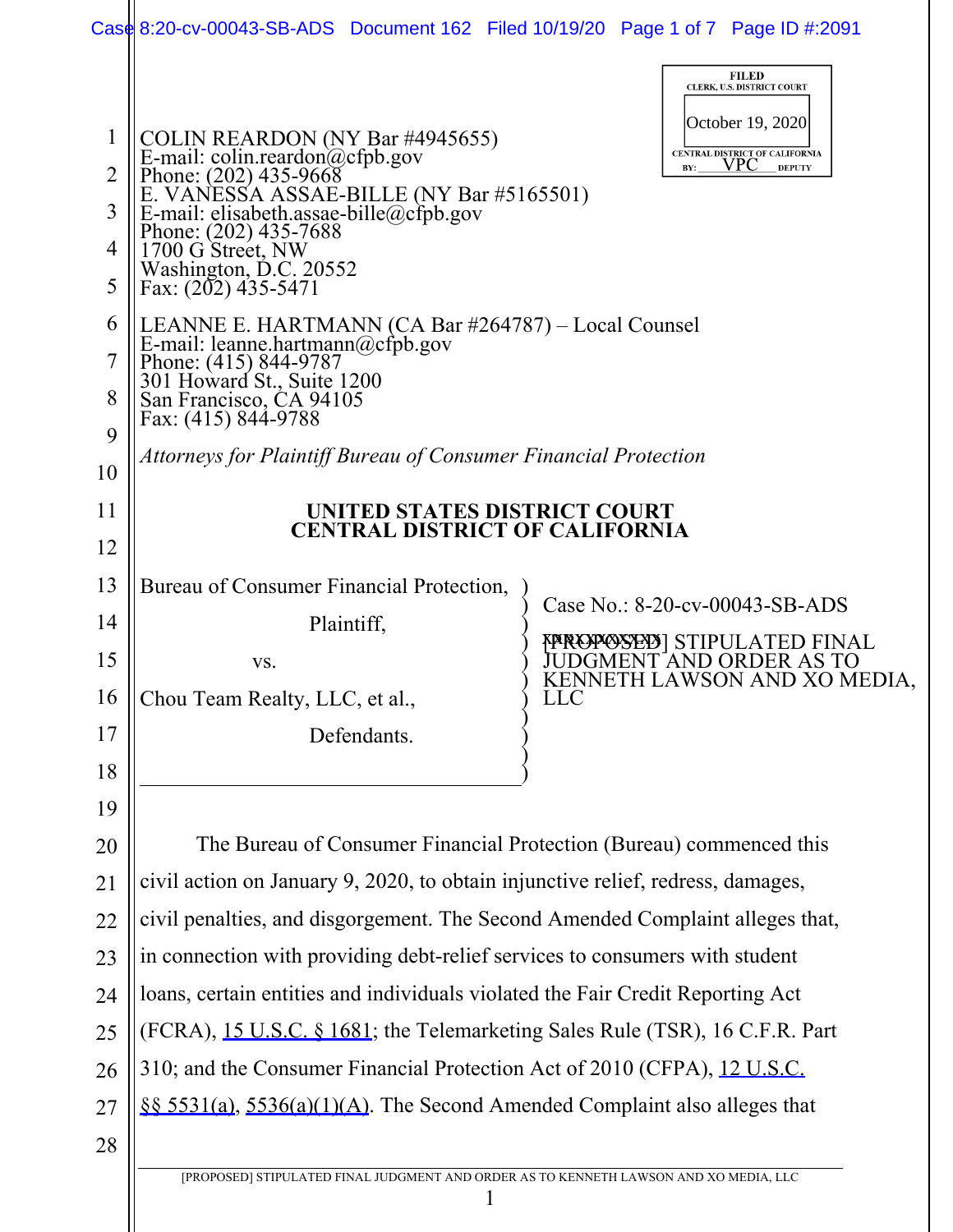|                | Case 8:20-cv-00043-SB-ADS Document 162 Filed 10/19/20 Page 1 of 7 Page ID #:2091                                                                                                                                                                                                   |                                                                 |  |                                                        |  |  |
|----------------|------------------------------------------------------------------------------------------------------------------------------------------------------------------------------------------------------------------------------------------------------------------------------------|-----------------------------------------------------------------|--|--------------------------------------------------------|--|--|
|                |                                                                                                                                                                                                                                                                                    |                                                                 |  | <b>FILED</b><br>CLERK, U.S. DISTRICT COURT             |  |  |
| $\mathbf 1$    | October 19, 2020<br>CENTRAL DISTRICT OF CALIFORNIA                                                                                                                                                                                                                                 |                                                                 |  |                                                        |  |  |
| $\overline{2}$ | COLIN REARDON (NY Bar #4945655)<br>E-mail: colin.reardon@cfpb.gov<br>Phone: (202) 435-9668<br>E. VANESSA ASSAE-BILLE (NY Bar #5165501)<br>E-mail: elisabeth.assae-bille@cfpb.gov<br>Phone: (202) 435-7688<br>1700 G Street, NW<br>Weshington<br><b>VPC</b><br><b>DEPUTY</b><br>BY: |                                                                 |  |                                                        |  |  |
| 3              |                                                                                                                                                                                                                                                                                    |                                                                 |  |                                                        |  |  |
| 4              |                                                                                                                                                                                                                                                                                    |                                                                 |  |                                                        |  |  |
| 5              | Washington, D.C. 20552<br>Fax: (202) 435-5471                                                                                                                                                                                                                                      |                                                                 |  |                                                        |  |  |
| 6              | LEANNE E. HARTMANN (CA Bar #264787) - Local Counsel                                                                                                                                                                                                                                |                                                                 |  |                                                        |  |  |
| 7              | E-mail: leanne.hartmann@cfpb.gov<br>Phone: (415) 844-9787<br>301 Howard St., Suite 1200<br>San Francisco, CA 94105<br>Fax: (415) 844-9788                                                                                                                                          |                                                                 |  |                                                        |  |  |
| 8              |                                                                                                                                                                                                                                                                                    |                                                                 |  |                                                        |  |  |
| 9              |                                                                                                                                                                                                                                                                                    |                                                                 |  |                                                        |  |  |
| 10             |                                                                                                                                                                                                                                                                                    | Attorneys for Plaintiff Bureau of Consumer Financial Protection |  |                                                        |  |  |
| 11             | UNITED STATES DISTRICT COURT<br><b>CENTRAL DISTRICT OF CALIFORNIA</b>                                                                                                                                                                                                              |                                                                 |  |                                                        |  |  |
| 12             |                                                                                                                                                                                                                                                                                    |                                                                 |  |                                                        |  |  |
| 13             | Bureau of Consumer Financial Protection,                                                                                                                                                                                                                                           |                                                                 |  | Case No.: 8-20-cv-00043-SB-ADS                         |  |  |
| 14             | Plaintiff,                                                                                                                                                                                                                                                                         |                                                                 |  | <b>{¤ROPOSED}</b> STIPULATED FINAL                     |  |  |
| 15             | VS.                                                                                                                                                                                                                                                                                |                                                                 |  | DGMENT AND ORDER AS TO<br>KENNETH LAWSON AND XO MEDIA, |  |  |
| 16             | Chou Team Realty, LLC, et al.,                                                                                                                                                                                                                                                     | <b>LLC</b>                                                      |  |                                                        |  |  |
| 17             | Defendants.                                                                                                                                                                                                                                                                        |                                                                 |  |                                                        |  |  |
| 18             |                                                                                                                                                                                                                                                                                    |                                                                 |  |                                                        |  |  |
| 19             |                                                                                                                                                                                                                                                                                    |                                                                 |  |                                                        |  |  |
| 20             | The Bureau of Consumer Financial Protection (Bureau) commenced this                                                                                                                                                                                                                |                                                                 |  |                                                        |  |  |
| 21             | civil action on January 9, 2020, to obtain injunctive relief, redress, damages,                                                                                                                                                                                                    |                                                                 |  |                                                        |  |  |
| 22             | civil penalties, and disgorgement. The Second Amended Complaint alleges that,                                                                                                                                                                                                      |                                                                 |  |                                                        |  |  |
| 23             | in connection with providing debt-relief services to consumers with student                                                                                                                                                                                                        |                                                                 |  |                                                        |  |  |
| 24             | loans, certain entities and individuals violated the Fair Credit Reporting Act                                                                                                                                                                                                     |                                                                 |  |                                                        |  |  |
| 25             | (FCRA), 15 U.S.C. § 1681; the Telemarketing Sales Rule (TSR), 16 C.F.R. Part                                                                                                                                                                                                       |                                                                 |  |                                                        |  |  |
| 26             | 310; and the Consumer Financial Protection Act of 2010 (CFPA), 12 U.S.C.                                                                                                                                                                                                           |                                                                 |  |                                                        |  |  |
| 27             | §§ 5531(a), 5536(a)(1)(A). The Second Amended Complaint also alleges that                                                                                                                                                                                                          |                                                                 |  |                                                        |  |  |
| 28             |                                                                                                                                                                                                                                                                                    |                                                                 |  |                                                        |  |  |
|                | [PROPOSED] STIPULATED FINAL JUDGMENT AND ORDER AS TO KENNETH LAWSON AND XO MEDIA, LLC                                                                                                                                                                                              |                                                                 |  |                                                        |  |  |
|                |                                                                                                                                                                                                                                                                                    |                                                                 |  |                                                        |  |  |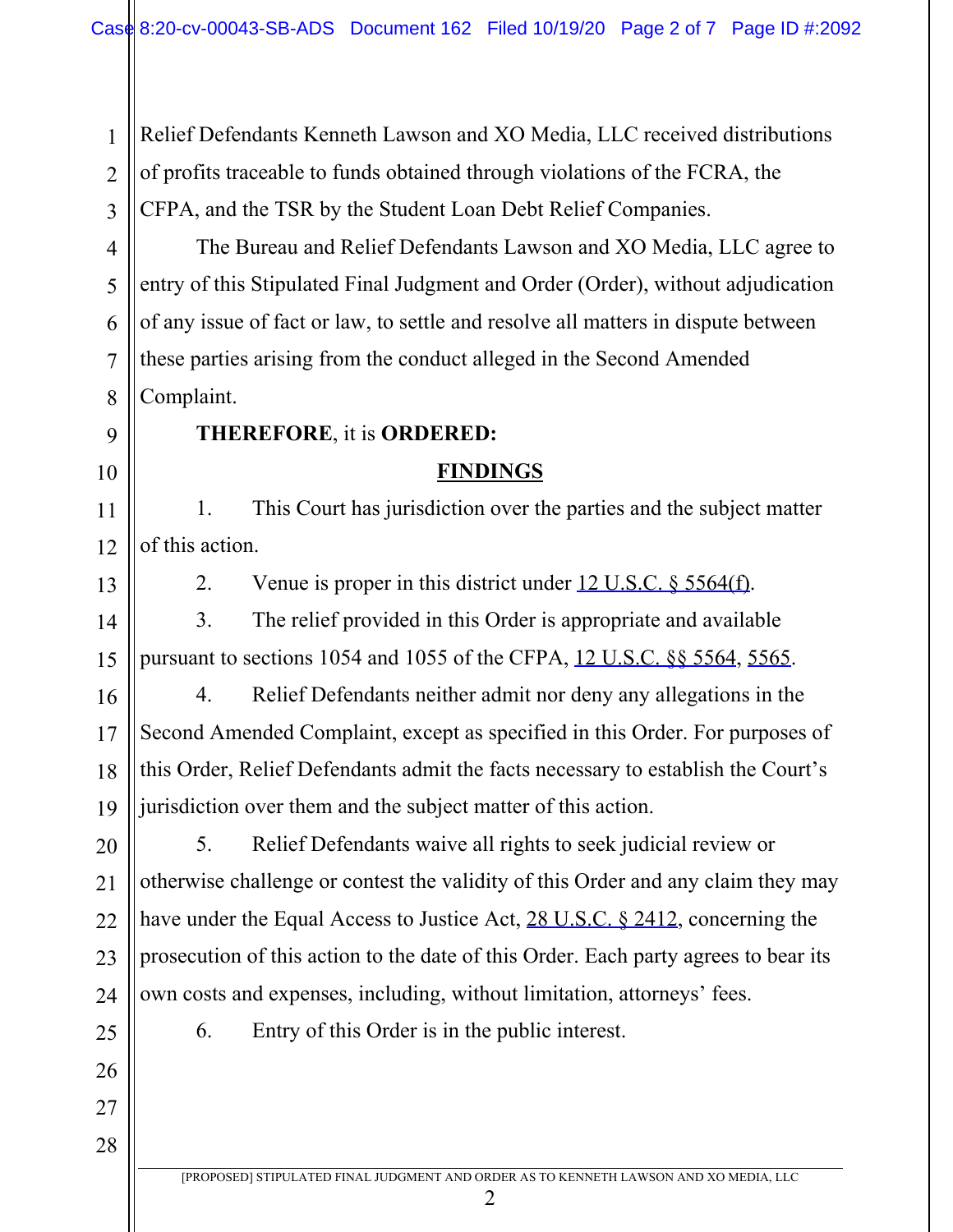2 3 Relief Defendants Kenneth Lawson and XO Media, LLC received distributions of profits traceable to funds obtained through violations of the FCRA, the CFPA, and the TSR by the Student Loan Debt Relief Companies.

4 6 7 8 The Bureau and Relief Defendants Lawson and XO Media, LLC agree to entry of this Stipulated Final Judgment and Order (Order), without adjudication of any issue of fact or law, to settle and resolve all matters in dispute between these parties arising from the conduct alleged in the Second Amended Complaint.

9

10

1

5

# **THEREFORE**, it is **ORDERED:**

### **FINDINGS**

11 12 1. This Court has jurisdiction over the parties and the subject matter of this action.

13

14

15

2. Venue is proper in this district under 12 U.S.C. § 5564(f).

3. The relief provided in this Order is appropriate and available pursuant to sections 1054 and 1055 of the CFPA, 12 U.S.C. §§ 5564, 5565.

16 17 18 19 4. Relief Defendants neither admit nor deny any allegations in the Second Amended Complaint, except as specified in this Order. For purposes of this Order, Relief Defendants admit the facts necessary to establish the Court's jurisdiction over them and the subject matter of this action.

20 21 22 23 24 5. Relief Defendants waive all rights to seek judicial review or otherwise challenge or contest the validity of this Order and any claim they may have under the Equal Access to Justice Act, 28 U.S.C. § 2412, concerning the prosecution of this action to the date of this Order. Each party agrees to bear its own costs and expenses, including, without limitation, attorneys' fees.

6. Entry of this Order is in the public interest.

25

26

27 28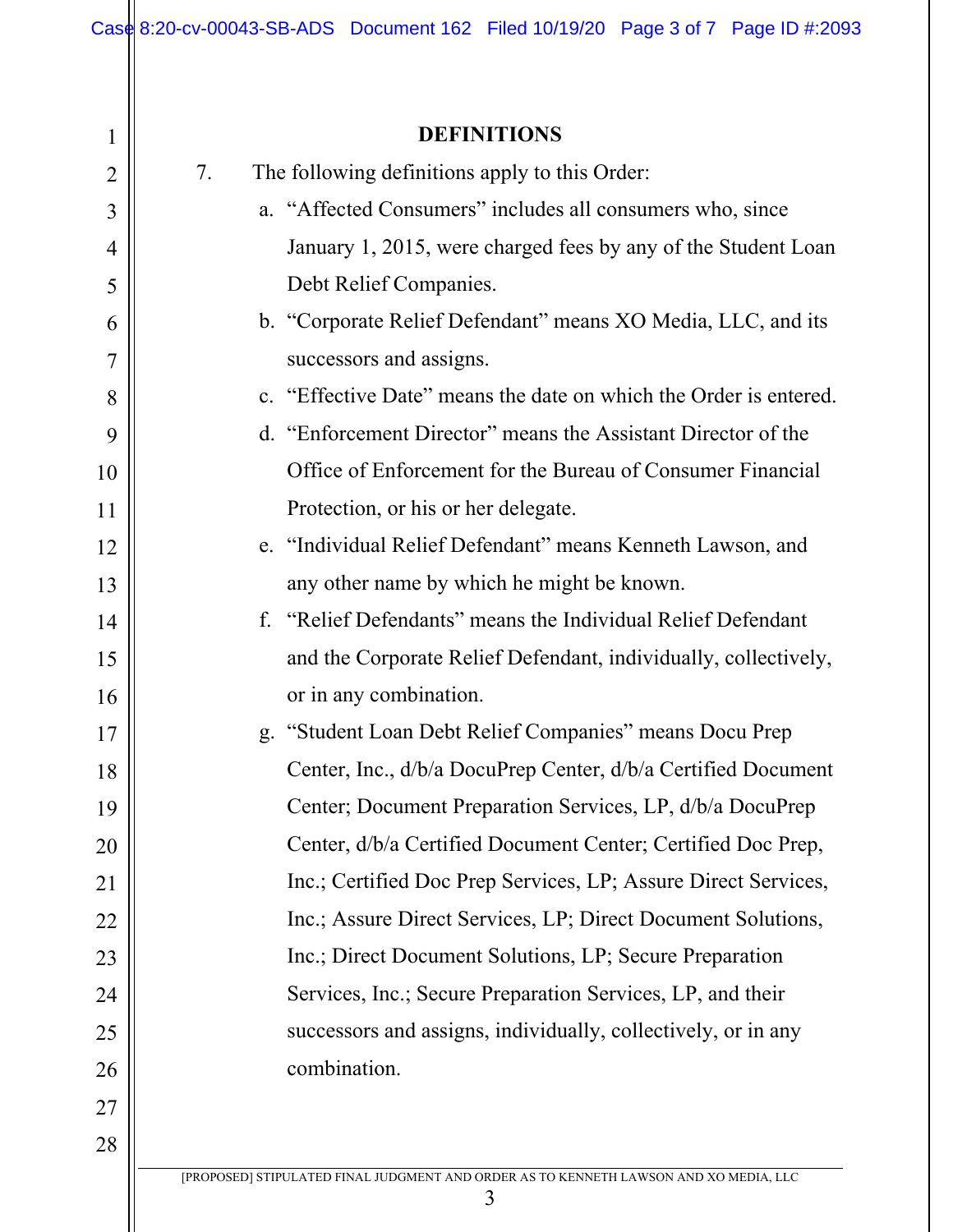# **DEFINITIONS**

| 1              | <b>DEFINITIONS</b>                                                                         |  |  |
|----------------|--------------------------------------------------------------------------------------------|--|--|
| $\overline{2}$ | 7.<br>The following definitions apply to this Order:                                       |  |  |
| 3              | a. "Affected Consumers" includes all consumers who, since                                  |  |  |
| 4              | January 1, 2015, were charged fees by any of the Student Loan                              |  |  |
| 5              | Debt Relief Companies.                                                                     |  |  |
| 6              | b. "Corporate Relief Defendant" means XO Media, LLC, and its                               |  |  |
| 7              | successors and assigns.                                                                    |  |  |
| 8              | c. "Effective Date" means the date on which the Order is entered.                          |  |  |
| 9              | d. "Enforcement Director" means the Assistant Director of the                              |  |  |
| 10             | Office of Enforcement for the Bureau of Consumer Financial                                 |  |  |
| 11             | Protection, or his or her delegate.                                                        |  |  |
| 12             | e. "Individual Relief Defendant" means Kenneth Lawson, and                                 |  |  |
| 13             | any other name by which he might be known.                                                 |  |  |
| 14             | f. "Relief Defendants" means the Individual Relief Defendant                               |  |  |
| 15             | and the Corporate Relief Defendant, individually, collectively,                            |  |  |
| 16             | or in any combination.                                                                     |  |  |
| 17             | g. "Student Loan Debt Relief Companies" means Docu Prep                                    |  |  |
| 18             | Center, Inc., d/b/a DocuPrep Center, d/b/a Certified Document                              |  |  |
| 19             | Center; Document Preparation Services, LP, d/b/a DocuPrep                                  |  |  |
| 20             | Center, d/b/a Certified Document Center; Certified Doc Prep,                               |  |  |
| 21             | Inc.; Certified Doc Prep Services, LP; Assure Direct Services,                             |  |  |
| 22             | Inc.; Assure Direct Services, LP; Direct Document Solutions,                               |  |  |
| 23             | Inc.; Direct Document Solutions, LP; Secure Preparation                                    |  |  |
| 24             | Services, Inc.; Secure Preparation Services, LP, and their                                 |  |  |
| 25             | successors and assigns, individually, collectively, or in any                              |  |  |
| 26             | combination.                                                                               |  |  |
| 27             |                                                                                            |  |  |
| 28             |                                                                                            |  |  |
|                | [PROPOSED] STIPULATED FINAL JUDGMENT AND ORDER AS TO KENNETH LAWSON AND XO MEDIA, LLC<br>3 |  |  |
|                |                                                                                            |  |  |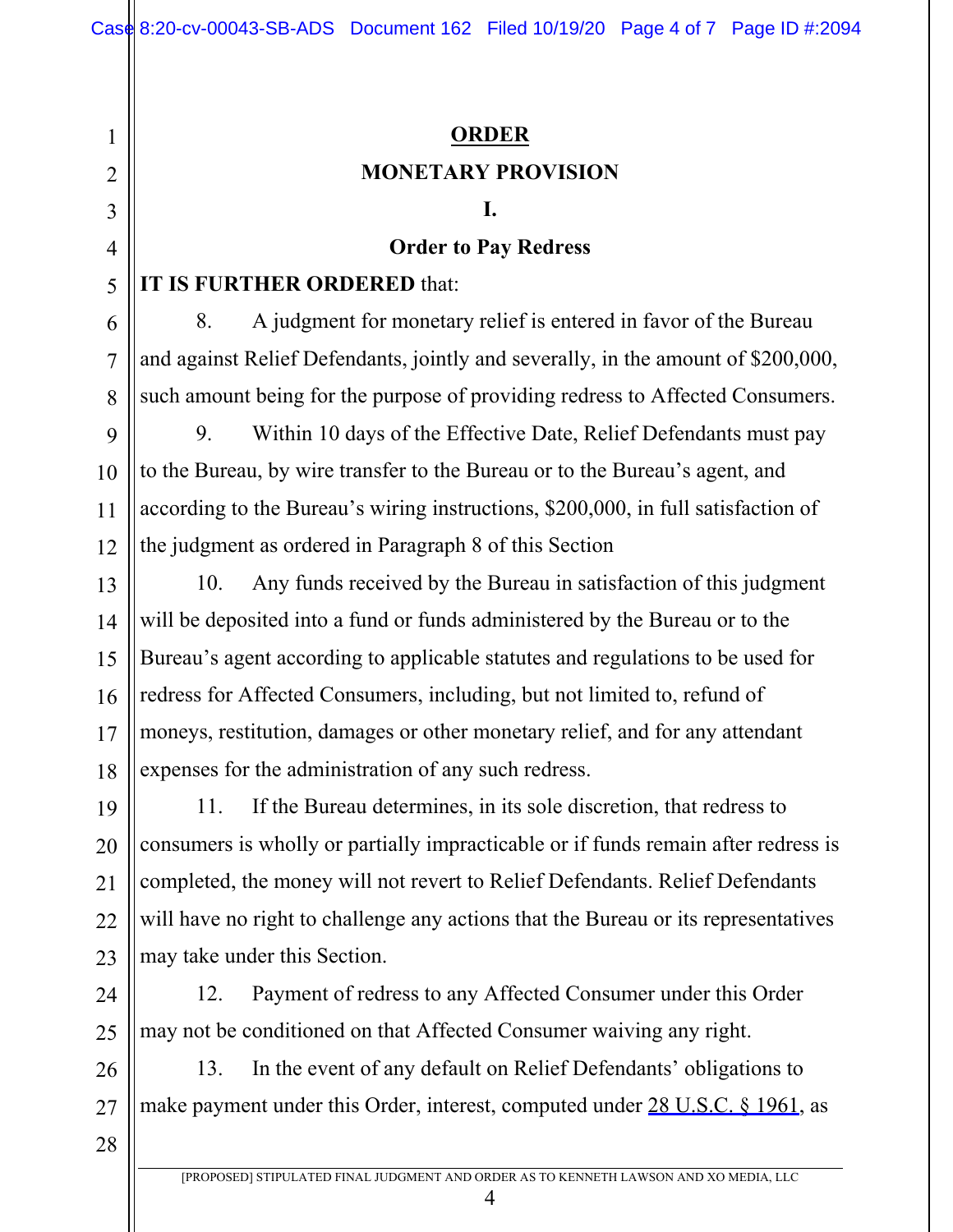# **ORDER MONETARY PROVISION**

#### **I.**

### **Order to Pay Redress**

# **IT IS FURTHER ORDERED** that:

8. A judgment for monetary relief is entered in favor of the Bureau and against Relief Defendants, jointly and severally, in the amount of \$200,000, such amount being for the purpose of providing redress to Affected Consumers.

9 12 9. Within 10 days of the Effective Date, Relief Defendants must pay to the Bureau, by wire transfer to the Bureau or to the Bureau's agent, and according to the Bureau's wiring instructions, \$200,000, in full satisfaction of the judgment as ordered in Paragraph 8 of this Section

13 14 15 16 17 18 10. Any funds received by the Bureau in satisfaction of this judgment will be deposited into a fund or funds administered by the Bureau or to the Bureau's agent according to applicable statutes and regulations to be used for redress for Affected Consumers, including, but not limited to, refund of moneys, restitution, damages or other monetary relief, and for any attendant expenses for the administration of any such redress.

19 20 22 23 11. If the Bureau determines, in its sole discretion, that redress to consumers is wholly or partially impracticable or if funds remain after redress is completed, the money will not revert to Relief Defendants. Relief Defendants will have no right to challenge any actions that the Bureau or its representatives may take under this Section.

24 25 12. Payment of redress to any Affected Consumer under this Order may not be conditioned on that Affected Consumer waiving any right.

26 27 13. In the event of any default on Relief Defendants' obligations to make payment under this Order, interest, computed under 28 U.S.C. § 1961, as

28

21

1

2

3

4

5

6

7

8

10

11

4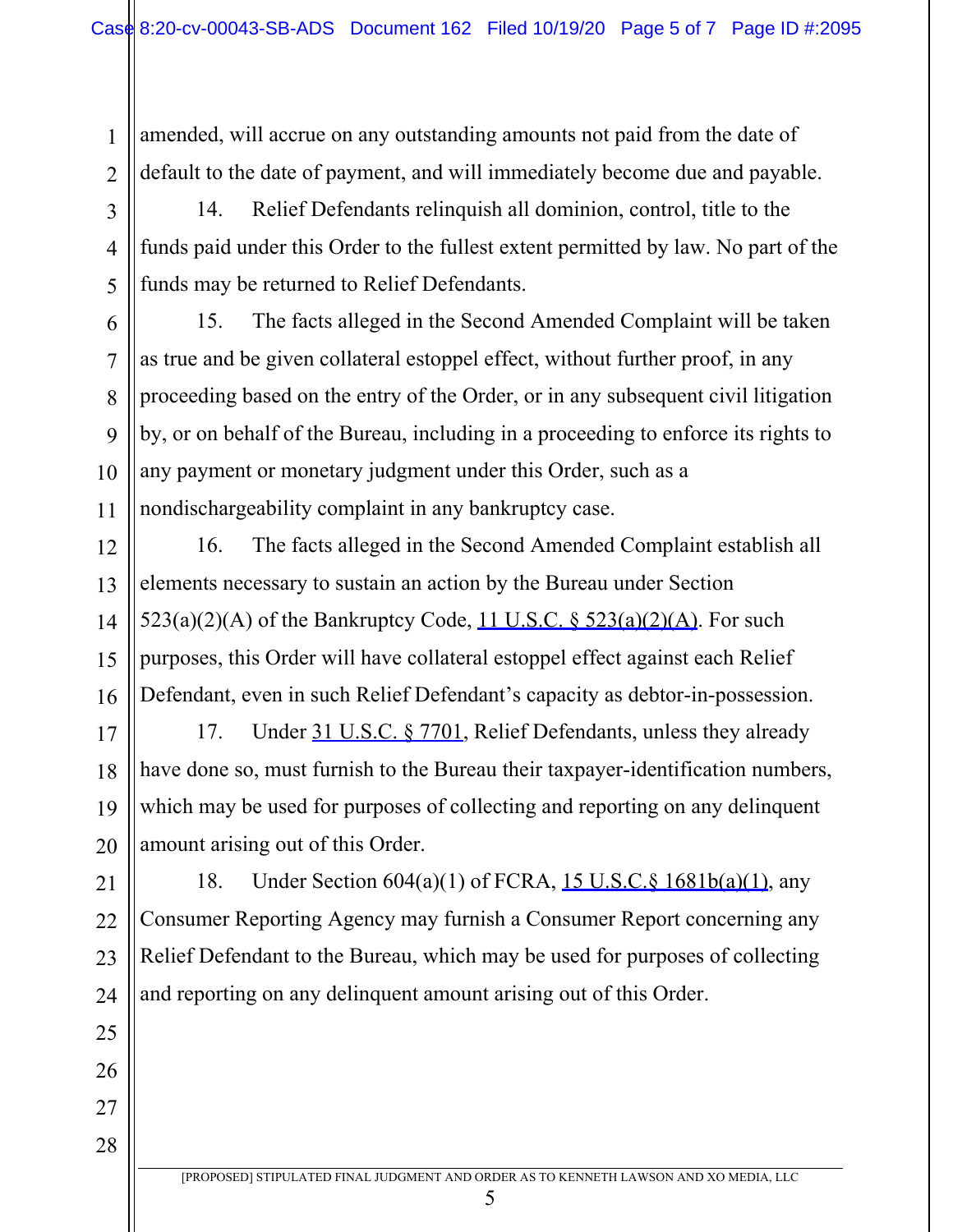amended, will accrue on any outstanding amounts not paid from the date of default to the date of payment, and will immediately become due and payable.

1

2

3

4

5

6

7

8

9

10

11

12

13

14

15

16

17

18

19

20

21

25

26

27

28

14. Relief Defendants relinquish all dominion, control, title to the funds paid under this Order to the fullest extent permitted by law. No part of the funds may be returned to Relief Defendants.

15. The facts alleged in the Second Amended Complaint will be taken as true and be given collateral estoppel effect, without further proof, in any proceeding based on the entry of the Order, or in any subsequent civil litigation by, or on behalf of the Bureau, including in a proceeding to enforce its rights to any payment or monetary judgment under this Order, such as a nondischargeability complaint in any bankruptcy case.

16. The facts alleged in the Second Amended Complaint establish all elements necessary to sustain an action by the Bureau under Section  $523(a)(2)(A)$  of the Bankruptcy Code,  $11$  U.S.C. §  $523(a)(2)(A)$ . For such purposes, this Order will have collateral estoppel effect against each Relief Defendant, even in such Relief Defendant's capacity as debtor-in-possession.

17. Under 31 U.S.C. § 7701, Relief Defendants, unless they already have done so, must furnish to the Bureau their taxpayer-identification numbers, which may be used for purposes of collecting and reporting on any delinquent amount arising out of this Order.

22 23 24 18. Under Section 604(a)(1) of FCRA, 15 U.S.C.§ 1681b(a)(1), any Consumer Reporting Agency may furnish a Consumer Report concerning any Relief Defendant to the Bureau, which may be used for purposes of collecting and reporting on any delinquent amount arising out of this Order.

5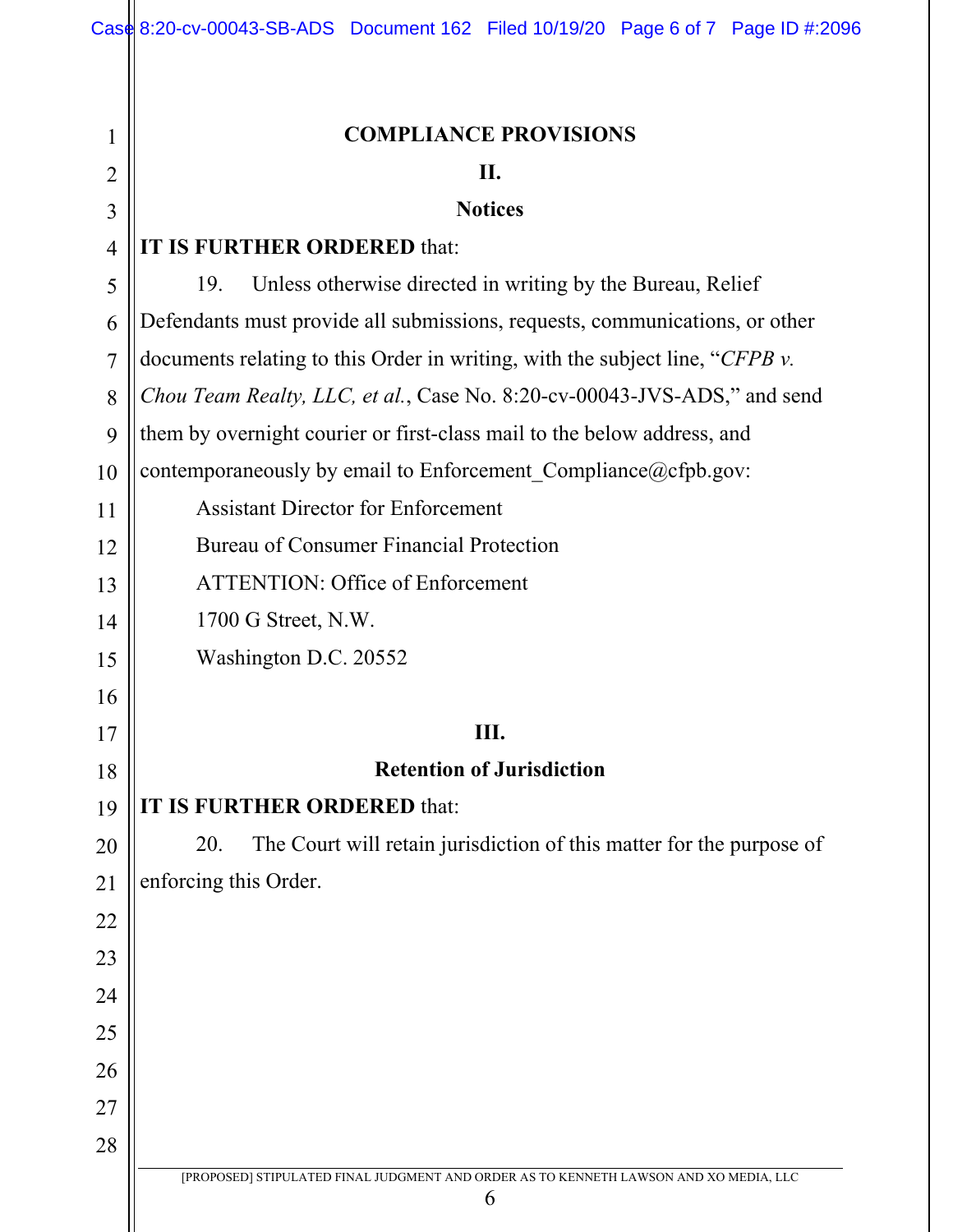| 1              | <b>COMPLIANCE PROVISIONS</b>                                                               |  |  |  |
|----------------|--------------------------------------------------------------------------------------------|--|--|--|
| $\overline{2}$ | П.                                                                                         |  |  |  |
| 3              | <b>Notices</b>                                                                             |  |  |  |
| $\overline{4}$ | IT IS FURTHER ORDERED that:                                                                |  |  |  |
| 5              | Unless otherwise directed in writing by the Bureau, Relief<br>19.                          |  |  |  |
| 6              | Defendants must provide all submissions, requests, communications, or other                |  |  |  |
| 7              | documents relating to this Order in writing, with the subject line, "CFPB $\nu$ .          |  |  |  |
| 8              | <i>Chou Team Realty, LLC, et al., Case No. 8:20-cv-00043-JVS-ADS,</i> " and send           |  |  |  |
| 9              | them by overnight courier or first-class mail to the below address, and                    |  |  |  |
| 10             | contemporaneously by email to Enforcement_Compliance@cfpb.gov:                             |  |  |  |
| 11             | <b>Assistant Director for Enforcement</b>                                                  |  |  |  |
| 12             | <b>Bureau of Consumer Financial Protection</b>                                             |  |  |  |
| 13             | <b>ATTENTION: Office of Enforcement</b>                                                    |  |  |  |
| 14             | 1700 G Street, N.W.                                                                        |  |  |  |
| 15             | Washington D.C. 20552                                                                      |  |  |  |
| 16             |                                                                                            |  |  |  |
| 17             | Ш.                                                                                         |  |  |  |
| 18             | <b>Retention of Jurisdiction</b>                                                           |  |  |  |
| 19             | IT IS FURTHER ORDERED that:                                                                |  |  |  |
| 20             | The Court will retain jurisdiction of this matter for the purpose of<br>20.                |  |  |  |
| 21             | enforcing this Order.                                                                      |  |  |  |
| 22             |                                                                                            |  |  |  |
| 23             |                                                                                            |  |  |  |
| 24             |                                                                                            |  |  |  |
| 25             |                                                                                            |  |  |  |
| 26             |                                                                                            |  |  |  |
| 27             |                                                                                            |  |  |  |
| 28             |                                                                                            |  |  |  |
|                | [PROPOSED] STIPULATED FINAL JUDGMENT AND ORDER AS TO KENNETH LAWSON AND XO MEDIA, LLC<br>6 |  |  |  |
|                |                                                                                            |  |  |  |